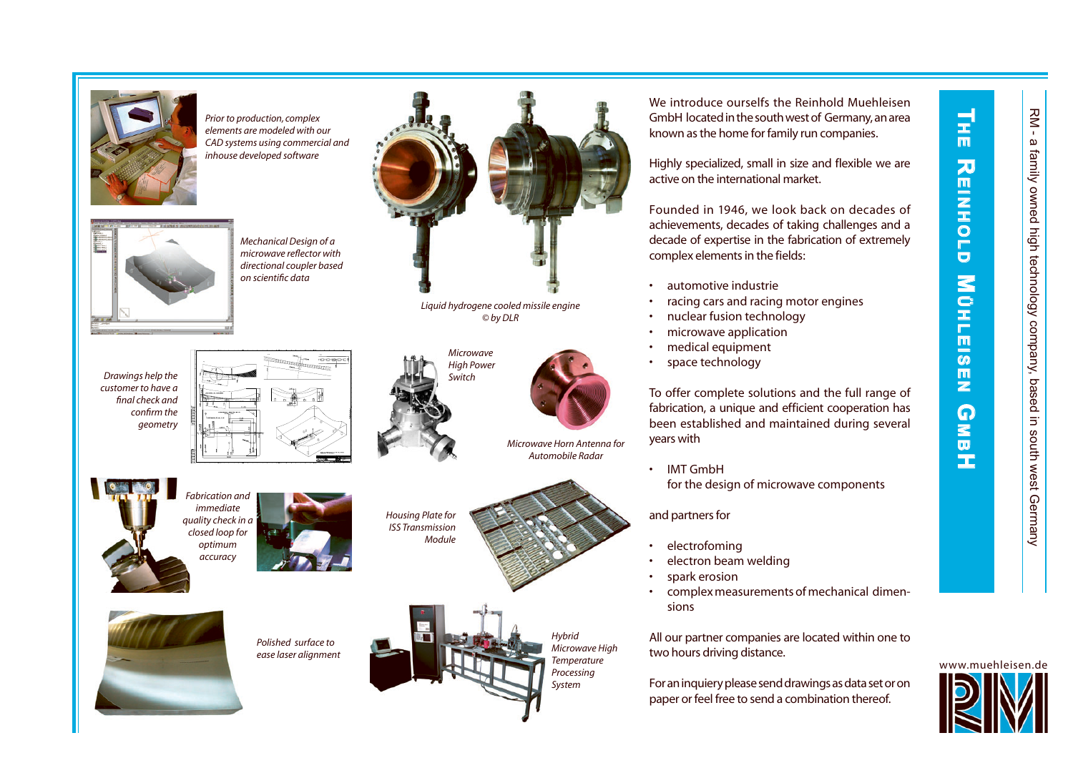**T**

m 刀 m.

**H R E REINHOLD MUHLEISEN G** 

 $\mathbf{z}$  $\mathbf C$ Ξ F  $\blacksquare$  $\overline{\omega}$  $\blacksquare$  $\mathbf{z}$ 

**INHOLD** 

**M B H**

 $\Omega$ 



*Prior to production, complex elements are modeled with our CAD systems using commercial and inhouse developed software*



*Mechanical Design of a microwave reflector with directional coupler based on scientifi c data*

*Drawings help the customer to have a fi nal check and confi rm the geometry*



*Fabrication and immediate quality check in a closed loop for optimum accuracy*



*Housing Plate for ISS Transmission Module*





*Hybrid Microwave High Temperature Processing System*

We introduce ourselfs the Reinhold Muehleisen GmbH located in the south west of Germany, an area known as the home for family run companies.

Highly specialized, small in size and flexible we are active on the international market.

Founded in 1946, we look back on decades of achievements, decades of taking challenges and a decade of expertise in the fabrication of extremely complex elements in the fields:

- •automotive industrie
- •racing cars and racing motor engines
- nuclear fusion technology
- •microwave application
- medical equipment
- •space technology

To offer complete solutions and the full range of fabrication, a unique and efficient cooperation has been established and maintained during several years with

•IMT GmbH

for the design of microwave components

and partners for

- •electrofoming
- •electron beam welding
- •spark erosion
- • complex measurements of mechanical dimensions

All our partner companies are located within one to two hours driving distance.

For an inquiery please send drawings as data set or on paper or feel free to send a combination thereof.





*Microwave High Power Switch*

*Liquid hydrogene cooled missile engine © by DLR*



*Microwave Horn Antenna for Automobile Radar*

••